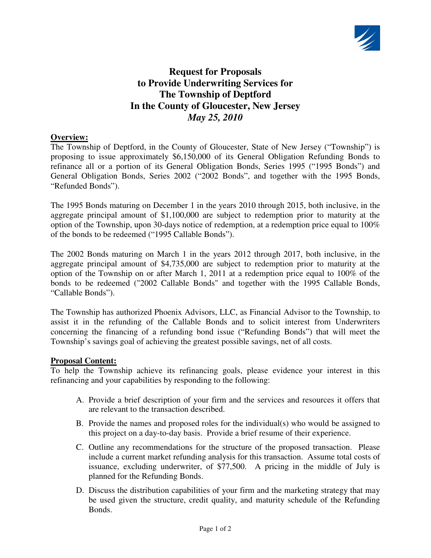

# **Request for Proposals to Provide Underwriting Services for The Township of Deptford In the County of Gloucester, New Jersey**  *May 25, 2010*

### **Overview:**

The Township of Deptford, in the County of Gloucester, State of New Jersey ("Township") is proposing to issue approximately \$6,150,000 of its General Obligation Refunding Bonds to refinance all or a portion of its General Obligation Bonds, Series 1995 ("1995 Bonds") and General Obligation Bonds, Series 2002 ("2002 Bonds", and together with the 1995 Bonds, "Refunded Bonds").

The 1995 Bonds maturing on December 1 in the years 2010 through 2015, both inclusive, in the aggregate principal amount of \$1,100,000 are subject to redemption prior to maturity at the option of the Township, upon 30-days notice of redemption, at a redemption price equal to 100% of the bonds to be redeemed ("1995 Callable Bonds").

The 2002 Bonds maturing on March 1 in the years 2012 through 2017, both inclusive, in the aggregate principal amount of \$4,735,000 are subject to redemption prior to maturity at the option of the Township on or after March 1, 2011 at a redemption price equal to 100% of the bonds to be redeemed ("2002 Callable Bonds" and together with the 1995 Callable Bonds, "Callable Bonds").

The Township has authorized Phoenix Advisors, LLC, as Financial Advisor to the Township, to assist it in the refunding of the Callable Bonds and to solicit interest from Underwriters concerning the financing of a refunding bond issue ("Refunding Bonds") that will meet the Township's savings goal of achieving the greatest possible savings, net of all costs.

#### **Proposal Content:**

To help the Township achieve its refinancing goals, please evidence your interest in this refinancing and your capabilities by responding to the following:

- A. Provide a brief description of your firm and the services and resources it offers that are relevant to the transaction described.
- B. Provide the names and proposed roles for the individual(s) who would be assigned to this project on a day-to-day basis. Provide a brief resume of their experience.
- C. Outline any recommendations for the structure of the proposed transaction. Please include a current market refunding analysis for this transaction. Assume total costs of issuance, excluding underwriter, of \$77,500. A pricing in the middle of July is planned for the Refunding Bonds.
- D. Discuss the distribution capabilities of your firm and the marketing strategy that may be used given the structure, credit quality, and maturity schedule of the Refunding Bonds.